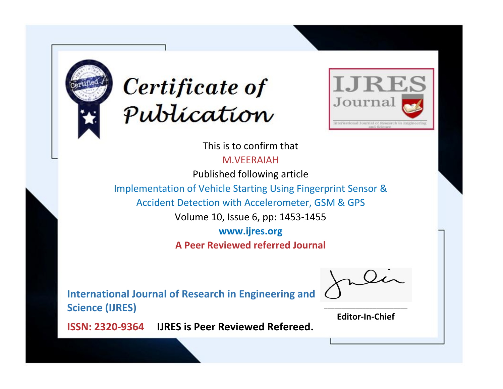



This is to confirm that

M.VEERAIAH

Published following article

Implementation of Vehicle Starting Using Fingerprint Sensor &

Accident Detection with Accelerometer, GSM & GPS

Volume 10, Issue 6, pp: 1453-1455

**www.ijres.org**

**A Peer Reviewed referred Journal**

**International Journal of Research in Engineering and Science (IJRES)**

\_\_\_\_\_\_\_\_\_\_\_\_\_\_\_\_\_\_\_\_\_\_\_\_ **Editor-In-Chief**

**Journal.**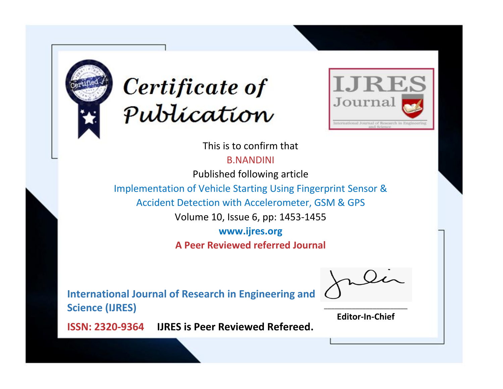



This is to confirm that

B.NANDINI

Published following article

Implementation of Vehicle Starting Using Fingerprint Sensor &

Accident Detection with Accelerometer, GSM & GPS

Volume 10, Issue 6, pp: 1453-1455

**www.ijres.org**

**A Peer Reviewed referred Journal**

**International Journal of Research in Engineering and Science (IJRES)**

\_\_\_\_\_\_\_\_\_\_\_\_\_\_\_\_\_\_\_\_\_\_\_\_ **Editor-In-Chief**

**Journal.**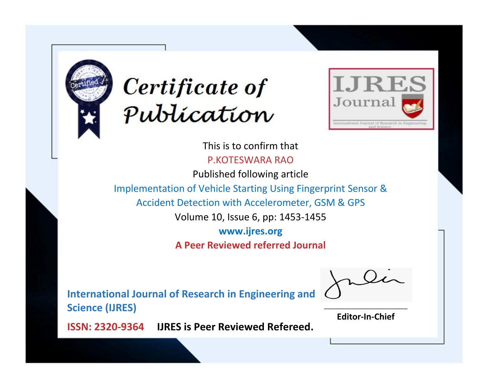



This is to confirm that P.KOTESWARA RAO

Published following article

Implementation of Vehicle Starting Using Fingerprint Sensor &

Accident Detection with Accelerometer, GSM & GPS

Volume 10, Issue 6, pp: 1453-1455

**www.ijres.org**

**A Peer Reviewed referred Journal**

**International Journal of Research in Engineering and Science (IJRES)**

\_\_\_\_\_\_\_\_\_\_\_\_\_\_\_\_\_\_\_\_\_\_\_\_ **Editor-In-Chief**

**Journal.**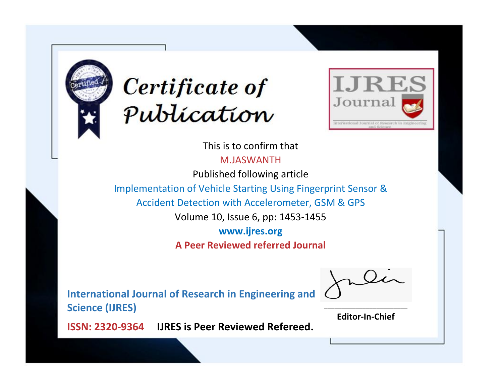



This is to confirm that M.JASWANTH

Published following article

Implementation of Vehicle Starting Using Fingerprint Sensor &

Accident Detection with Accelerometer, GSM & GPS

Volume 10, Issue 6, pp: 1453-1455

**www.ijres.org**

**A Peer Reviewed referred Journal**

**International Journal of Research in Engineering and Science (IJRES)**

\_\_\_\_\_\_\_\_\_\_\_\_\_\_\_\_\_\_\_\_\_\_\_\_ **Editor-In-Chief**

**Journal.**